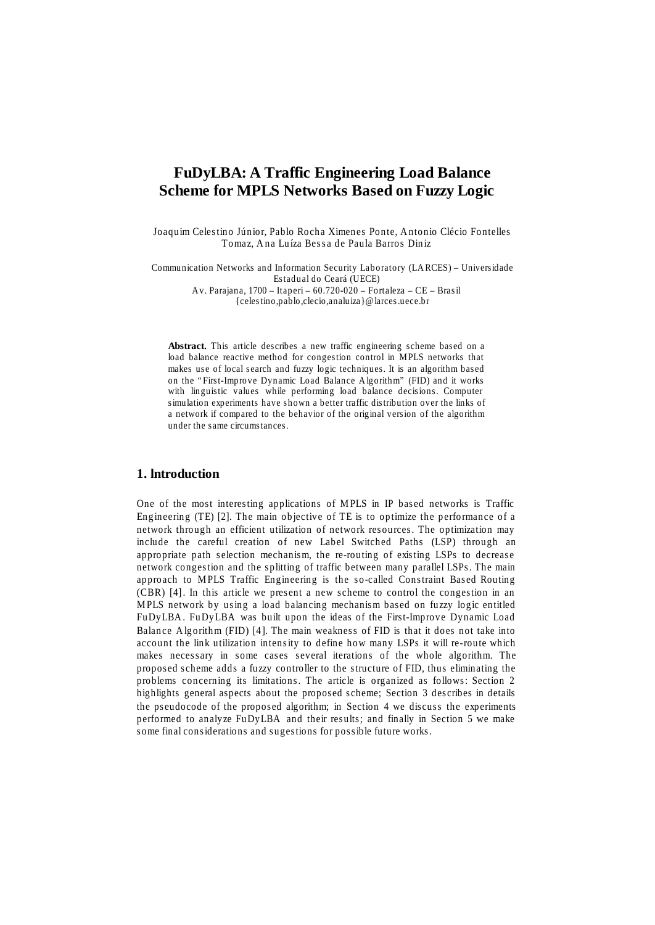# **FuDyLBA: A Traffic Engineering Load Balance Scheme for MPLS Networks Based on Fuzzy Logic**

Joaquim Celestino Júnior, Pablo Rocha Ximenes Ponte, Antonio Clécio Fontelles Tomaz, Ana Luíza Bessa de Paula Barros Diniz

Communication Networks and Information Security Laboratory (LARCES) – Universidade Estadual do Ceará (UECE) Av. Parajana, 1700 – Itaperi – 60.720-020 – Fortaleza – CE – Brasil

{celestino,pablo,clecio,analuiza}@larces.uece.br

**Abstract.** This article describes a new traffic engineering scheme based on a load balance reactive method for congestion control in MPLS networks that makes use of local search and fuzzy logic techniques. It is an algorithm based on the "First-Improve Dynamic Load Balance Algorithm" (FID) and it works with linguistic values while performing load balance decisions. Computer simulation experiments have shown a better traffic distribution over the links of a network if compared to the behavior of the original version of the algorithm under the same circumstances.

## **1. lntroduction**

One of the most interesting applications of MPLS in IP based networks is Traffic Engineering (TE) [2]. The main objective of TE is to optimize the performance of a network through an efficient utilization of network resources. The optimization may include the careful creation of new Label Switched Paths (LSP) through an appropriate path selection mechanism, the re-routing of existing LSPs to decrease network congestion and the splitting of traffic between many parallel LSPs. The main approach to MPLS Traffic Engineering is the so-called Constraint Based Routing (CBR) [4]. In this article we present a new scheme to control the congestion in an MPLS network by using a load balancing mechanism based on fuzzy logic entitled FuDyLBA. FuDyLBA was built upon the ideas of the First-Improve Dynamic Load Balance Algorithm (FID) [4]. The main weakness of FID is that it does not take into account the link utilization intensity to define how many LSPs it will re-route which makes necessary in some cases several iterations of the whole algorithm. The proposed scheme adds a fuzzy controller to the structure of FID, thus eliminating the problems concerning its limitations. The article is organized as follows: Section 2 highlights general aspects about the proposed scheme; Section 3 describes in details the pseudocode of the proposed algorithm; in Section 4 we discuss the experiments performed to analyze FuDyLBA and their results; and finally in Section 5 we make some final considerations and sugestions for possible future works.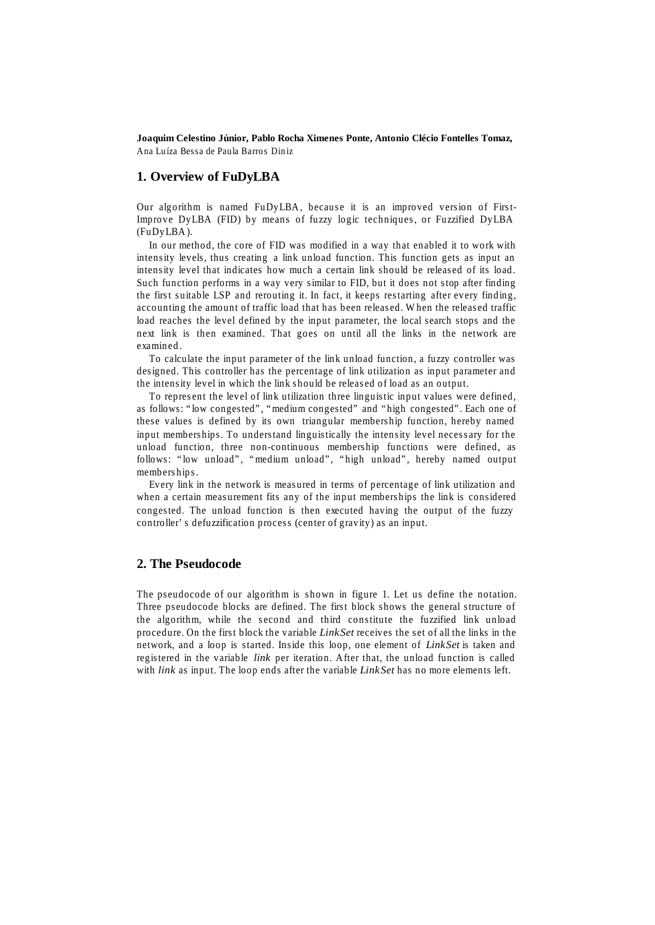**Joaquim Celestino Júnior, Pablo Rocha Ximenes Ponte, Antonio Clécio Fontelles Tomaz,** Ana Luíza Bessa de Paula Barros Diniz

# **1. Overview of FuDyLBA**

Our algorithm is named FuDyLBA, because it is an improved version of First-Improve DyLBA (FID) by means of fuzzy logic techniques, or Fuzzified DyLBA (FuDyLBA).

In our method, the core of FID was modified in a way that enabled it to work with intensity levels, thus creating a link unload function. This function gets as input an intensity level that indicates how much a certain link should be released of its load. Such function performs in a way very similar to FID, but it does not stop after finding the first suitable LSP and rerouting it. In fact, it keeps restarting after every finding, accounting the amount of traffic load that has been released. When the released traffic load reaches the level defined by the input parameter, the local search stops and the next link is then examined. That goes on until all the links in the network are examined.

To calculate the input parameter of the link unload function, a fuzzy controller was designed. This controller has the percentage of link utilization as input parameter and the intensity level in which the link should be released of load as an output.

To represent the level of link utilization three linguistic input values were defined, as follows: "low congested", "medium congested" and "high congested". Each one of these values is defined by its own triangular membership function, hereby named input memberships. To understand linguistically the intensity level necessary for the unload function, three non-continuous membership functions were defined, as follows: "low unload", "medium unload", "high unload", hereby named output memberships.

Every link in the network is measured in terms of percentage of link utilization and when a certain measurement fits any of the input memberships the link is considered congested. The unload function is then executed having the output of the fuzzy controller's defuzzification process (center of gravity) as an input.

### **2. The Pseudocode**

The pseudocode of our algorithm is shown in figure 1. Let us define the notation. Three pseudocode blocks are defined. The first block shows the general structure of the algorithm, while the second and third constitute the fuzzified link unload procedure. On the first block the variable *LinkSet* receives the set of all the links in the network, and a loop is started. Inside this loop, one element of *LinkSet* is taken and registered in the variable *link* per iteration. After that, the unload function is called with *link* as input. The loop ends after the variable *LinkSet* has no more elements left.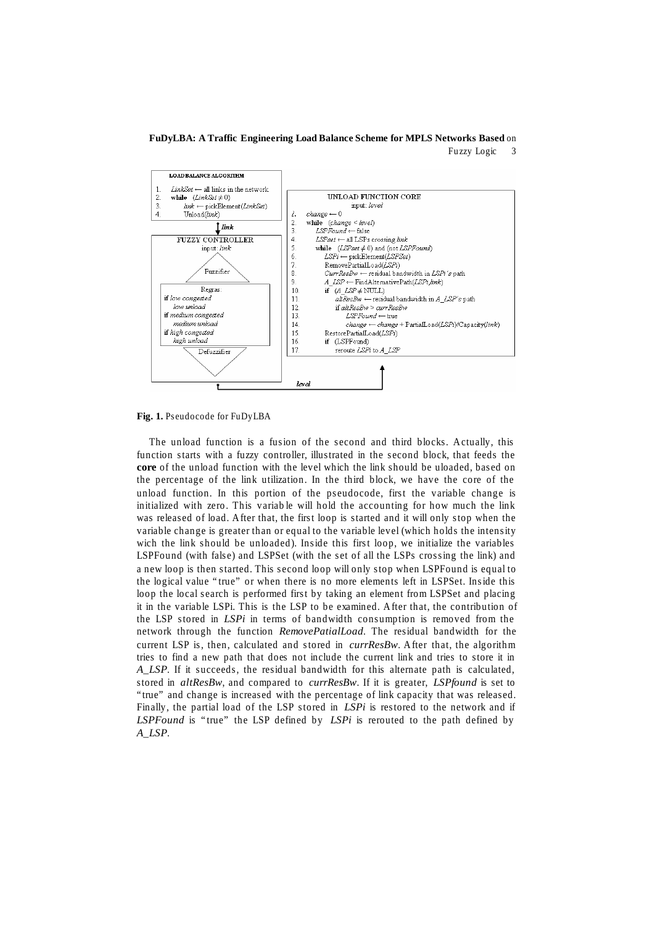#### **FuDyLBA: A Traffic Engineering Load Balance Scheme for MPLS Networks Based** on Fuzzy Logic 3



**Fig. 1.** Pseudocode for FuDyLBA

The unload function is a fusion of the second and third blocks. Actually, this function starts with a fuzzy controller, illustrated in the second block, that feeds the **core** of the unload function with the level which the link should be uloaded, based on the percentage of the link utilization. In the third block, we have the core of the unload function. In this portion of the pseudocode, first the variable change is initialized with zero. This variable will hold the accounting for how much the link was released of load. After that, the first loop is started and it will only stop when the variable change is greater than or equal to the variable level (which holds the intensity wich the link should be unloaded). Inside this first loop, we initialize the variables LSPFound (with false) and LSPSet (with the set of all the LSPs crossing the link) and a new loop is then started. This second loop will only stop when LSPFound is equal to the logical value "true" or when there is no more elements left in LSPSet. Inside this loop the local search is performed first by taking an element from LSPSet and placing it in the variable LSPi. This is the LSP to be examined. After that, the contribution of the LSP stored in *LSPi* in terms of bandwidth consumption is removed from the network through the function *RemovePatialLoad*. The residual bandwidth for the current LSP is, then, calculated and stored in *currResBw*. After that, the algorithm tries to find a new path that does not include the current link and tries to store it in *A\_LSP*. If it succeeds, the residual bandwidth for this alternate path is calculated, stored in *altResBw*, and compared to *currResBw*. If it is greater, *LSPfound* is set to "true" and change is increased with the percentage of link capacity that was released. Finally, the partial load of the LSP stored in *LSPi* is restored to the network and if *LSPFound* is "true" the LSP defined by *LSPi* is rerouted to the path defined by *A\_LSP*.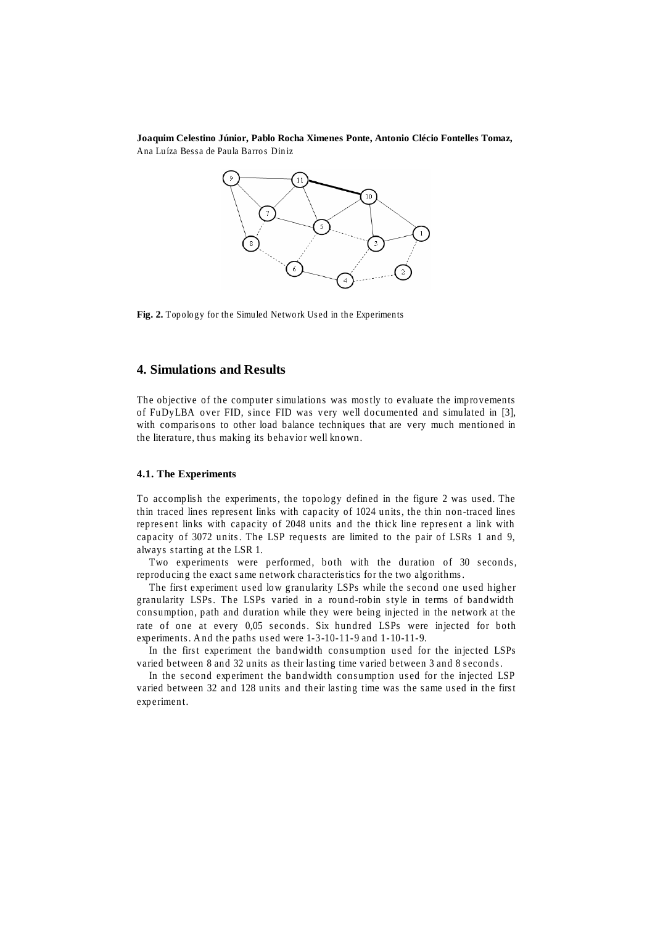**Joaquim Celestino Júnior, Pablo Rocha Ximenes Ponte, Antonio Clécio Fontelles Tomaz,** Ana Luíza Bessa de Paula Barros Diniz



**Fig. 2.** Topology for the Simuled Network Used in the Experiments

# **4. Simulations and Results**

The objective of the computer simulations was mostly to evaluate the improvements of FuDyLBA over FID, since FID was very well documented and simulated in [3], with comparisons to other load balance techniques that are very much mentioned in the literature, thus making its behavior well known.

#### **4.1. The Experiments**

To accomplish the experiments, the topology defined in the figure 2 was used. The thin traced lines represent links with capacity of 1024 units, the thin non-traced lines represent links with capacity of 2048 units and the thick line represent a link with capacity of 3072 units. The LSP requests are limited to the pair of LSRs 1 and 9, always starting at the LSR 1.

Two experiments were performed, both with the duration of 30 seconds, reproducing the exact same network characteristics for the two algorithms.

The first experiment used low granularity LSPs while the second one used higher granularity LSPs. The LSPs varied in a round-robin style in terms of bandwidth consumption, path and duration while they were being injected in the network at the rate of one at every 0,05 seconds. Six hundred LSPs were injected for both experiments. And the paths used were 1-3-10-11-9 and 1-10-11-9.

In the first experiment the bandwidth consumption used for the injected LSPs varied between 8 and 32 units as their lasting time varied between 3 and 8 seconds.

In the second experiment the bandwidth consumption used for the injected LSP varied between 32 and 128 units and their lasting time was the same used in the first experiment.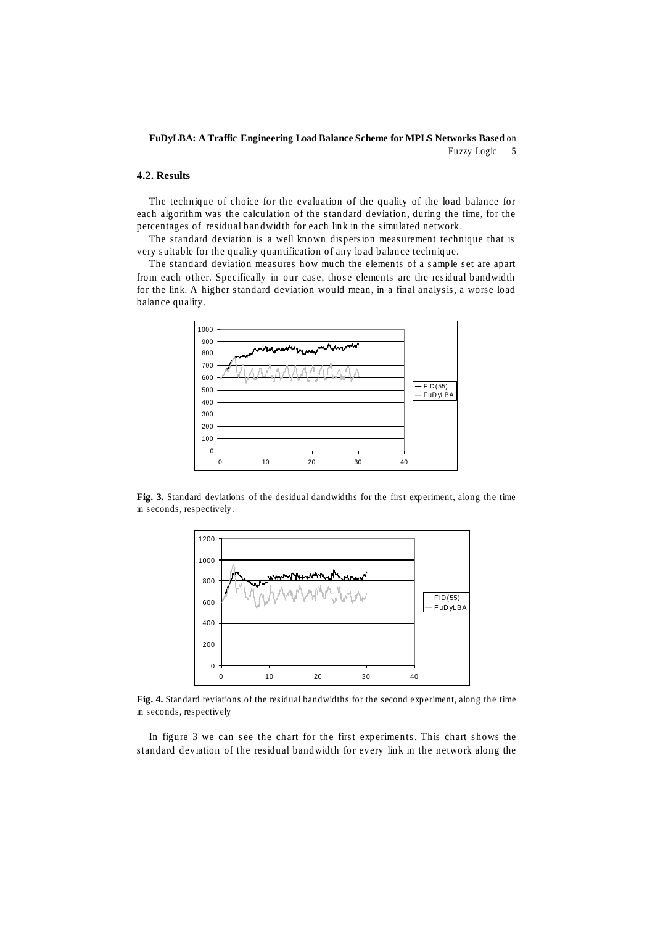#### **FuDyLBA: A Traffic Engineering Load Balance Scheme for MPLS Networks Based** on

Fuzzy Logic 5

#### **4.2. Results**

The technique of choice for the evaluation of the quality of the load balance for each algorithm was the calculation of the standard deviation, during the time, for the percentages of residual bandwidth for each link in the simulated network.

The standard deviation is a well known dispersion measurement technique that is very suitable for the quality quantification of any load balance technique.

The standard deviation measures how much the elements of a sample set are apart from each other. Specifically in our case, those elements are the residual bandwidth for the link. A higher standard deviation would mean, in a final analysis, a worse load balance quality.



**Fig. 3.** Standard deviations of the desidual dandwidths for the first experiment, along the time in seconds, respectively.



**Fig. 4.** Standard reviations of the residual bandwidths for the second experiment, along the time in seconds, respectively

In figure 3 we can see the chart for the first experiments. This chart shows the standard deviation of the residual bandwidth for every link in the network along the